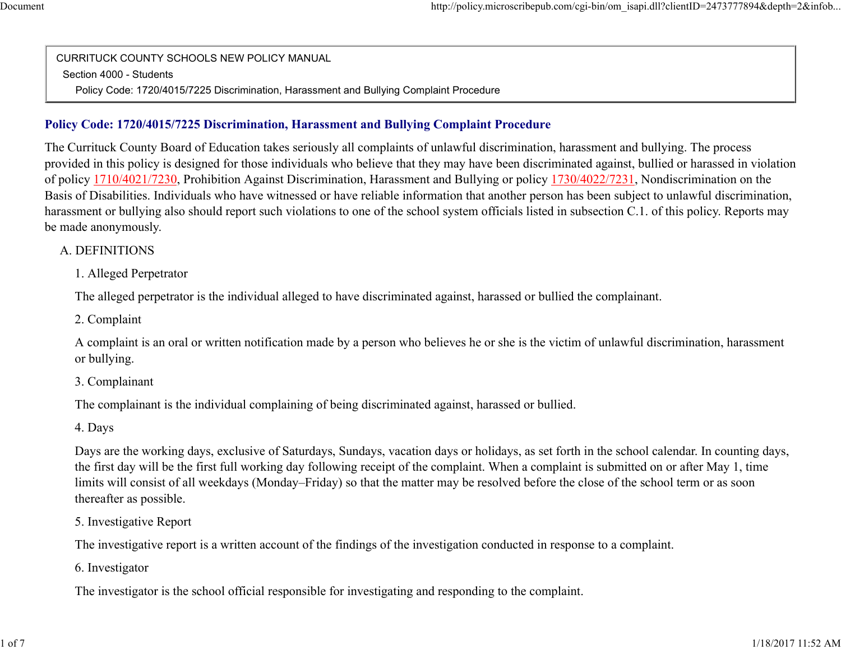CURRITUCK COUNTY SCHOOLS NEW POLICY MANUALSection 4000 - StudentsPolicy Code: 1720/4015/7225 Discrimination, Harassment and Bullying Complaint Procedure

### **Policy Code: 1720/4015/7225 Discrimination, Harassment and Bullying Complaint Procedure**

The Currituck County Board of Education takes seriously all complaints of unlawful discrimination, harassment and bullying. The process provided in this policy is designed for those individuals who believe that they may have been discriminated against, bullied or harassed in violationof policy 1710/4021/7230, Prohibition Against Discrimination, Harassment and Bullying or policy 1730/4022/7231, Nondiscrimination on the Basis of Disabilities. Individuals who have witnessed or have reliable information that another person has been subject to unlawful discrimination,harassment or bullying also should report such violations to one of the school system officials listed in subsection C.1. of this policy. Reports maybe made anonymously.

#### A. DEFINITIONS

1. Alleged Perpetrator

The alleged perpetrator is the individual alleged to have discriminated against, harassed or bullied the complainant.

2. Complaint

A complaint is an oral or written notification made by a person who believes he or she is the victim of unlawful discrimination, harassmentor bullying.

3. Complainant

The complainant is the individual complaining of being discriminated against, harassed or bullied.

4. Days

Days are the working days, exclusive of Saturdays, Sundays, vacation days or holidays, as set forth in the school calendar. In counting days,the first day will be the first full working day following receipt of the complaint. When a complaint is submitted on or after May 1, timelimits will consist of all weekdays (Monday–Friday) so that the matter may be resolved before the close of the school term or as soonthereafter as possible.

5. Investigative Report

The investigative report is a written account of the findings of the investigation conducted in response to a complaint.

6. Investigator

The investigator is the school official responsible for investigating and responding to the complaint.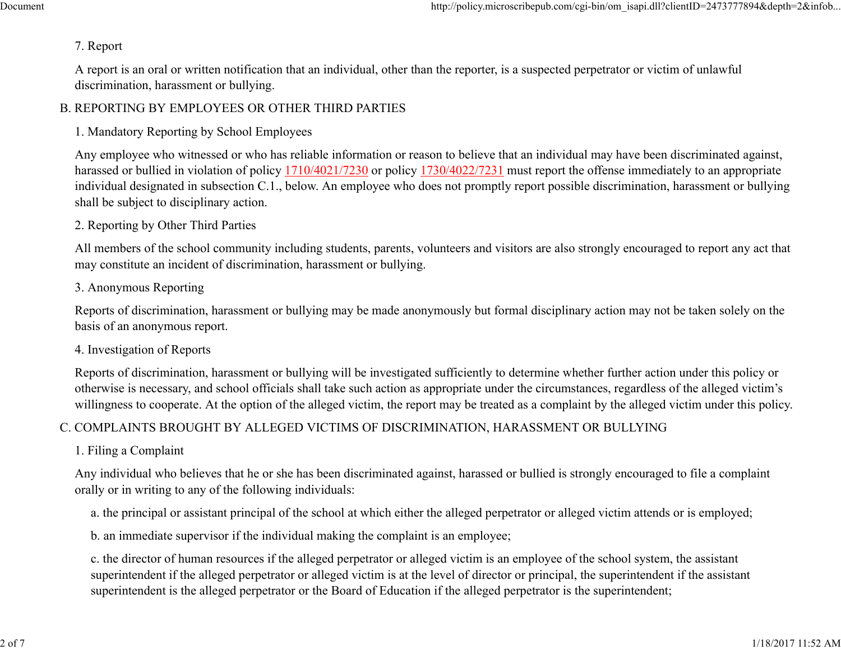#### 7. Report

A report is an oral or written notification that an individual, other than the reporter, is a suspected perpetrator or victim of unlawfuldiscrimination, harassment or bullying.

## B. REPORTING BY EMPLOYEES OR OTHER THIRD PARTIES

## 1. Mandatory Reporting by School Employees

Any employee who witnessed or who has reliable information or reason to believe that an individual may have been discriminated against,harassed or bullied in violation of policy 1710/4021/7230 or policy 1730/4022/7231 must report the offense immediately to an appropriate individual designated in subsection C.1., below. An employee who does not promptly report possible discrimination, harassment or bullyingshall be subject to disciplinary action.

### 2. Reporting by Other Third Parties

All members of the school community including students, parents, volunteers and visitors are also strongly encouraged to report any act thatmay constitute an incident of discrimination, harassment or bullying.

### 3. Anonymous Reporting

Reports of discrimination, harassment or bullying may be made anonymously but formal disciplinary action may not be taken solely on thebasis of an anonymous report.

### 4. Investigation of Reports

Reports of discrimination, harassment or bullying will be investigated sufficiently to determine whether further action under this policy or otherwise is necessary, and school officials shall take such action as appropriate under the circumstances, regardless of the alleged victim'swillingness to cooperate. At the option of the alleged victim, the report may be treated as a complaint by the alleged victim under this policy.

# C. COMPLAINTS BROUGHT BY ALLEGED VICTIMS OF DISCRIMINATION, HARASSMENT OR BULLYING

### 1. Filing a Complaint

Any individual who believes that he or she has been discriminated against, harassed or bullied is strongly encouraged to file a complaintorally or in writing to any of the following individuals:

a. the principal or assistant principal of the school at which either the alleged perpetrator or alleged victim attends or is employed;

b. an immediate supervisor if the individual making the complaint is an employee;

c. the director of human resources if the alleged perpetrator or alleged victim is an employee of the school system, the assistant superintendent if the alleged perpetrator or alleged victim is at the level of director or principal, the superintendent if the assistantsuperintendent is the alleged perpetrator or the Board of Education if the alleged perpetrator is the superintendent;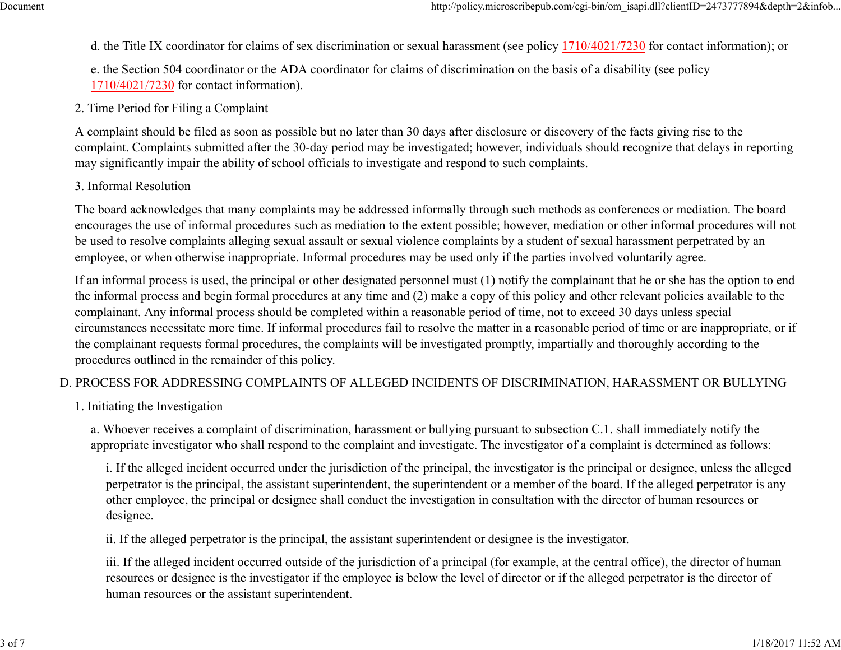d. the Title IX coordinator for claims of sex discrimination or sexual harassment (see policy 1710/4021/7230 for contact information); or

e. the Section 504 coordinator or the ADA coordinator for claims of discrimination on the basis of a disability (see policy1710/4021/7230 for contact information).

### 2. Time Period for Filing a Complaint

A complaint should be filed as soon as possible but no later than 30 days after disclosure or discovery of the facts giving rise to the complaint. Complaints submitted after the 30-day period may be investigated; however, individuals should recognize that delays in reportingmay significantly impair the ability of school officials to investigate and respond to such complaints.

### 3. Informal Resolution

The board acknowledges that many complaints may be addressed informally through such methods as conferences or mediation. The board encourages the use of informal procedures such as mediation to the extent possible; however, mediation or other informal procedures will notbe used to resolve complaints alleging sexual assault or sexual violence complaints by a student of sexual harassment perpetrated by anemployee, or when otherwise inappropriate. Informal procedures may be used only if the parties involved voluntarily agree.

If an informal process is used, the principal or other designated personnel must (1) notify the complainant that he or she has the option to endthe informal process and begin formal procedures at any time and (2) make a copy of this policy and other relevant policies available to thecomplainant. Any informal process should be completed within a reasonable period of time, not to exceed 30 days unless specialcircumstances necessitate more time. If informal procedures fail to resolve the matter in a reasonable period of time or are inappropriate, or ifthe complainant requests formal procedures, the complaints will be investigated promptly, impartially and thoroughly according to theprocedures outlined in the remainder of this policy.

# D. PROCESS FOR ADDRESSING COMPLAINTS OF ALLEGED INCIDENTS OF DISCRIMINATION, HARASSMENT OR BULLYING

1. Initiating the Investigation

a. Whoever receives a complaint of discrimination, harassment or bullying pursuant to subsection C.1. shall immediately notify theappropriate investigator who shall respond to the complaint and investigate. The investigator of a complaint is determined as follows:

i. If the alleged incident occurred under the jurisdiction of the principal, the investigator is the principal or designee, unless the alleged perpetrator is the principal, the assistant superintendent, the superintendent or a member of the board. If the alleged perpetrator is anyother employee, the principal or designee shall conduct the investigation in consultation with the director of human resources ordesignee.

ii. If the alleged perpetrator is the principal, the assistant superintendent or designee is the investigator.

iii. If the alleged incident occurred outside of the jurisdiction of a principal (for example, at the central office), the director of humanresources or designee is the investigator if the employee is below the level of director or if the alleged perpetrator is the director ofhuman resources or the assistant superintendent.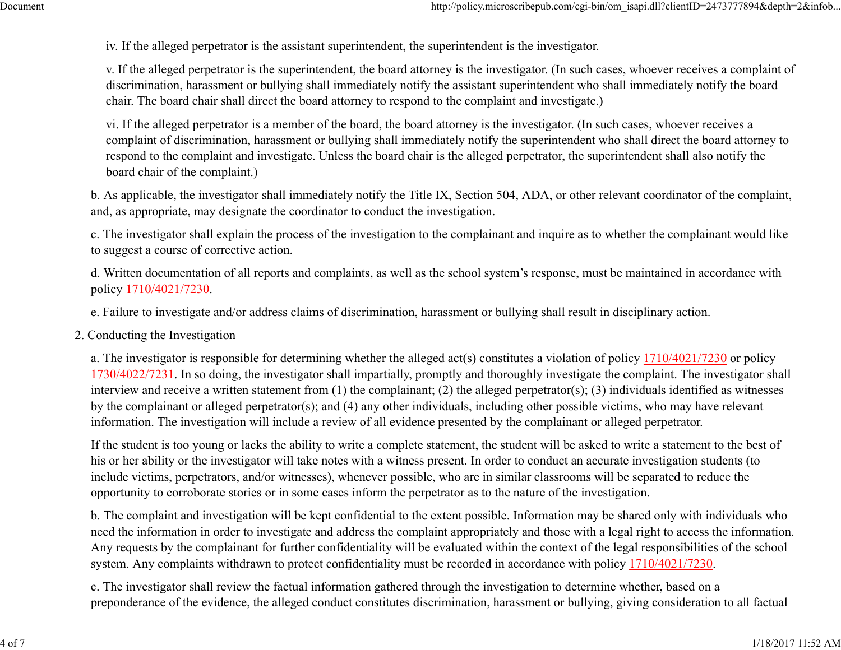iv. If the alleged perpetrator is the assistant superintendent, the superintendent is the investigator.

v. If the alleged perpetrator is the superintendent, the board attorney is the investigator. (In such cases, whoever receives a complaint ofdiscrimination, harassment or bullying shall immediately notify the assistant superintendent who shall immediately notify the boardchair. The board chair shall direct the board attorney to respond to the complaint and investigate.)

vi. If the alleged perpetrator is a member of the board, the board attorney is the investigator. (In such cases, whoever receives a complaint of discrimination, harassment or bullying shall immediately notify the superintendent who shall direct the board attorney torespond to the complaint and investigate. Unless the board chair is the alleged perpetrator, the superintendent shall also notify theboard chair of the complaint.)

b. As applicable, the investigator shall immediately notify the Title IX, Section 504, ADA, or other relevant coordinator of the complaint,and, as appropriate, may designate the coordinator to conduct the investigation.

c. The investigator shall explain the process of the investigation to the complainant and inquire as to whether the complainant would liketo suggest a course of corrective action.

d. Written documentation of all reports and complaints, as well as the school system's response, must be maintained in accordance withpolicy 1710/4021/7230.

e. Failure to investigate and/or address claims of discrimination, harassment or bullying shall result in disciplinary action.

2. Conducting the Investigation

a. The investigator is responsible for determining whether the alleged act(s) constitutes a violation of policy 1710/4021/7230 or policy1730/4022/7231. In so doing, the investigator shall impartially, promptly and thoroughly investigate the complaint. The investigator shall interview and receive a written statement from (1) the complainant; (2) the alleged perpetrator(s); (3) individuals identified as witnessesby the complainant or alleged perpetrator(s); and (4) any other individuals, including other possible victims, who may have relevantinformation. The investigation will include a review of all evidence presented by the complainant or alleged perpetrator.

If the student is too young or lacks the ability to write a complete statement, the student will be asked to write a statement to the best ofhis or her ability or the investigator will take notes with a witness present. In order to conduct an accurate investigation students (toinclude victims, perpetrators, and/or witnesses), whenever possible, who are in similar classrooms will be separated to reduce theopportunity to corroborate stories or in some cases inform the perpetrator as to the nature of the investigation.

b. The complaint and investigation will be kept confidential to the extent possible. Information may be shared only with individuals who need the information in order to investigate and address the complaint appropriately and those with a legal right to access the information.Any requests by the complainant for further confidentiality will be evaluated within the context of the legal responsibilities of the schoolsystem. Any complaints withdrawn to protect confidentiality must be recorded in accordance with policy 1710/4021/7230.

c. The investigator shall review the factual information gathered through the investigation to determine whether, based on apreponderance of the evidence, the alleged conduct constitutes discrimination, harassment or bullying, giving consideration to all factual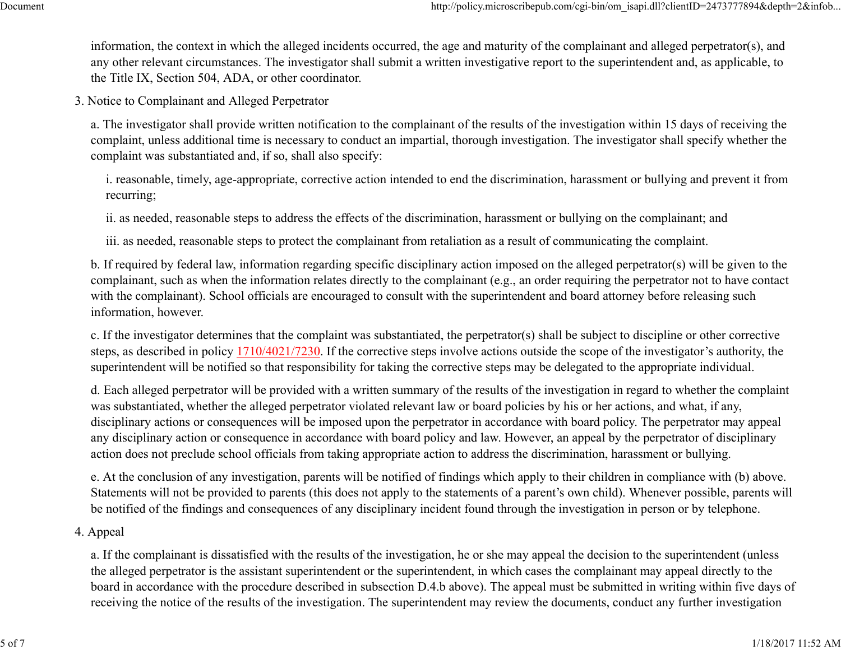information, the context in which the alleged incidents occurred, the age and maturity of the complainant and alleged perpetrator(s), and any other relevant circumstances. The investigator shall submit a written investigative report to the superintendent and, as applicable, tothe Title IX, Section 504, ADA, or other coordinator.

3. Notice to Complainant and Alleged Perpetrator

a. The investigator shall provide written notification to the complainant of the results of the investigation within 15 days of receiving the complaint, unless additional time is necessary to conduct an impartial, thorough investigation. The investigator shall specify whether thecomplaint was substantiated and, if so, shall also specify:

i. reasonable, timely, age-appropriate, corrective action intended to end the discrimination, harassment or bullying and prevent it fromrecurring;

ii. as needed, reasonable steps to address the effects of the discrimination, harassment or bullying on the complainant; and

iii. as needed, reasonable steps to protect the complainant from retaliation as a result of communicating the complaint.

b. If required by federal law, information regarding specific disciplinary action imposed on the alleged perpetrator(s) will be given to the complainant, such as when the information relates directly to the complainant (e.g., an order requiring the perpetrator not to have contactwith the complainant). School officials are encouraged to consult with the superintendent and board attorney before releasing suchinformation, however.

c. If the investigator determines that the complaint was substantiated, the perpetrator(s) shall be subject to discipline or other correctivesteps, as described in policy  $\frac{1710}{4021}{7230}$ . If the corrective steps involve actions outside the scope of the investigator's authority, the superintendent will be notified so that responsibility for taking the corrective steps may be delegated to the appropriate individual.

d. Each alleged perpetrator will be provided with a written summary of the results of the investigation in regard to whether the complaintwas substantiated, whether the alleged perpetrator violated relevant law or board policies by his or her actions, and what, if any,disciplinary actions or consequences will be imposed upon the perpetrator in accordance with board policy. The perpetrator may appealany disciplinary action or consequence in accordance with board policy and law. However, an appeal by the perpetrator of disciplinaryaction does not preclude school officials from taking appropriate action to address the discrimination, harassment or bullying.

e. At the conclusion of any investigation, parents will be notified of findings which apply to their children in compliance with (b) above.Statements will not be provided to parents (this does not apply to the statements of a parent's own child). Whenever possible, parents willbe notified of the findings and consequences of any disciplinary incident found through the investigation in person or by telephone.

### 4. Appeal

a. If the complainant is dissatisfied with the results of the investigation, he or she may appeal the decision to the superintendent (unlessthe alleged perpetrator is the assistant superintendent or the superintendent, in which cases the complainant may appeal directly to the board in accordance with the procedure described in subsection D.4.b above). The appeal must be submitted in writing within five days ofreceiving the notice of the results of the investigation. The superintendent may review the documents, conduct any further investigation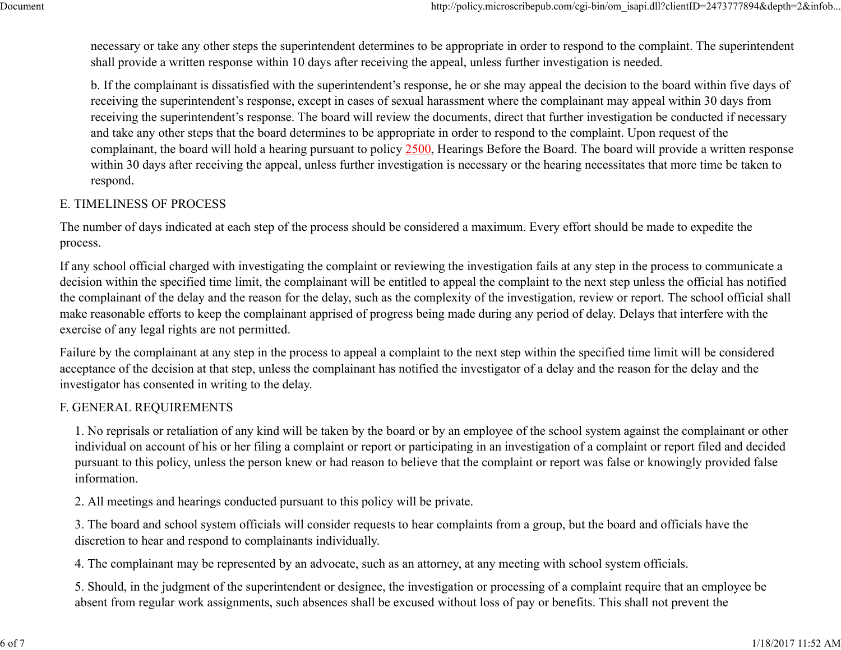necessary or take any other steps the superintendent determines to be appropriate in order to respond to the complaint. The superintendentshall provide a written response within 10 days after receiving the appeal, unless further investigation is needed.

b. If the complainant is dissatisfied with the superintendent's response, he or she may appeal the decision to the board within five days ofreceiving the superintendent's response, except in cases of sexual harassment where the complainant may appeal within 30 days from receiving the superintendent's response. The board will review the documents, direct that further investigation be conducted if necessaryand take any other steps that the board determines to be appropriate in order to respond to the complaint. Upon request of thecomplainant, the board will hold a hearing pursuant to policy 2500, Hearings Before the Board. The board will provide a written response within 30 days after receiving the appeal, unless further investigation is necessary or the hearing necessitates that more time be taken torespond.

### E. TIMELINESS OF PROCESS

The number of days indicated at each step of the process should be considered a maximum. Every effort should be made to expedite theprocess.

If any school official charged with investigating the complaint or reviewing the investigation fails at any step in the process to communicate a decision within the specified time limit, the complainant will be entitled to appeal the complaint to the next step unless the official has notified the complainant of the delay and the reason for the delay, such as the complexity of the investigation, review or report. The school official shallmake reasonable efforts to keep the complainant apprised of progress being made during any period of delay. Delays that interfere with theexercise of any legal rights are not permitted.

Failure by the complainant at any step in the process to appeal a complaint to the next step within the specified time limit will be consideredacceptance of the decision at that step, unless the complainant has notified the investigator of a delay and the reason for the delay and theinvestigator has consented in writing to the delay.

### F. GENERAL REQUIREMENTS

1. No reprisals or retaliation of any kind will be taken by the board or by an employee of the school system against the complainant or other individual on account of his or her filing a complaint or report or participating in an investigation of a complaint or report filed and decided pursuant to this policy, unless the person knew or had reason to believe that the complaint or report was false or knowingly provided falseinformation.

2. All meetings and hearings conducted pursuant to this policy will be private.

3. The board and school system officials will consider requests to hear complaints from a group, but the board and officials have thediscretion to hear and respond to complainants individually.

4. The complainant may be represented by an advocate, such as an attorney, at any meeting with school system officials.

5. Should, in the judgment of the superintendent or designee, the investigation or processing of a complaint require that an employee beabsent from regular work assignments, such absences shall be excused without loss of pay or benefits. This shall not prevent the